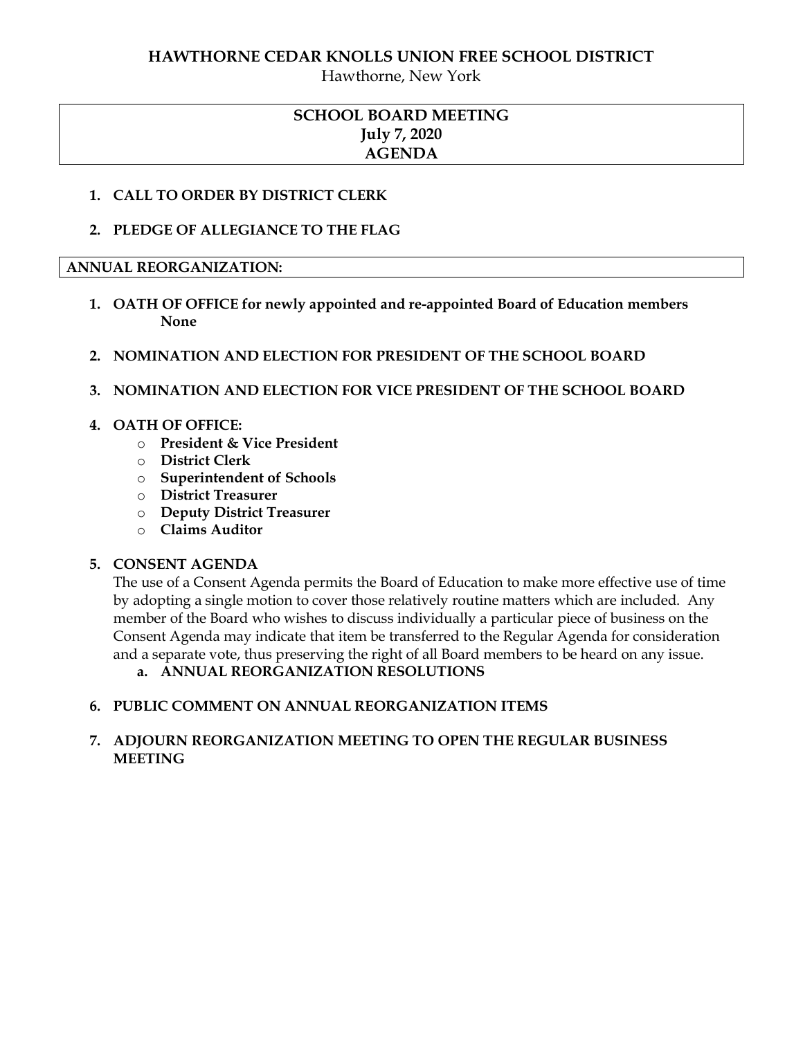## **HAWTHORNE CEDAR KNOLLS UNION FREE SCHOOL DISTRICT**

Hawthorne, New York

## **SCHOOL BOARD MEETING July 7, 2020 AGENDA**

## **1. CALL TO ORDER BY DISTRICT CLERK**

**2. PLEDGE OF ALLEGIANCE TO THE FLAG**

## **ANNUAL REORGANIZATION:**

- **1. OATH OF OFFICE for newly appointed and re-appointed Board of Education members None**
- **2. NOMINATION AND ELECTION FOR PRESIDENT OF THE SCHOOL BOARD**
- **3. NOMINATION AND ELECTION FOR VICE PRESIDENT OF THE SCHOOL BOARD**

## **4. OATH OF OFFICE:**

- o **President & Vice President**
- o **District Clerk**
- o **Superintendent of Schools**
- o **District Treasurer**
- o **Deputy District Treasurer**
- o **Claims Auditor**

## **5. CONSENT AGENDA**

The use of a Consent Agenda permits the Board of Education to make more effective use of time by adopting a single motion to cover those relatively routine matters which are included. Any member of the Board who wishes to discuss individually a particular piece of business on the Consent Agenda may indicate that item be transferred to the Regular Agenda for consideration and a separate vote, thus preserving the right of all Board members to be heard on any issue.

**a. ANNUAL REORGANIZATION RESOLUTIONS**

## **6. PUBLIC COMMENT ON ANNUAL REORGANIZATION ITEMS**

## **7. ADJOURN REORGANIZATION MEETING TO OPEN THE REGULAR BUSINESS MEETING**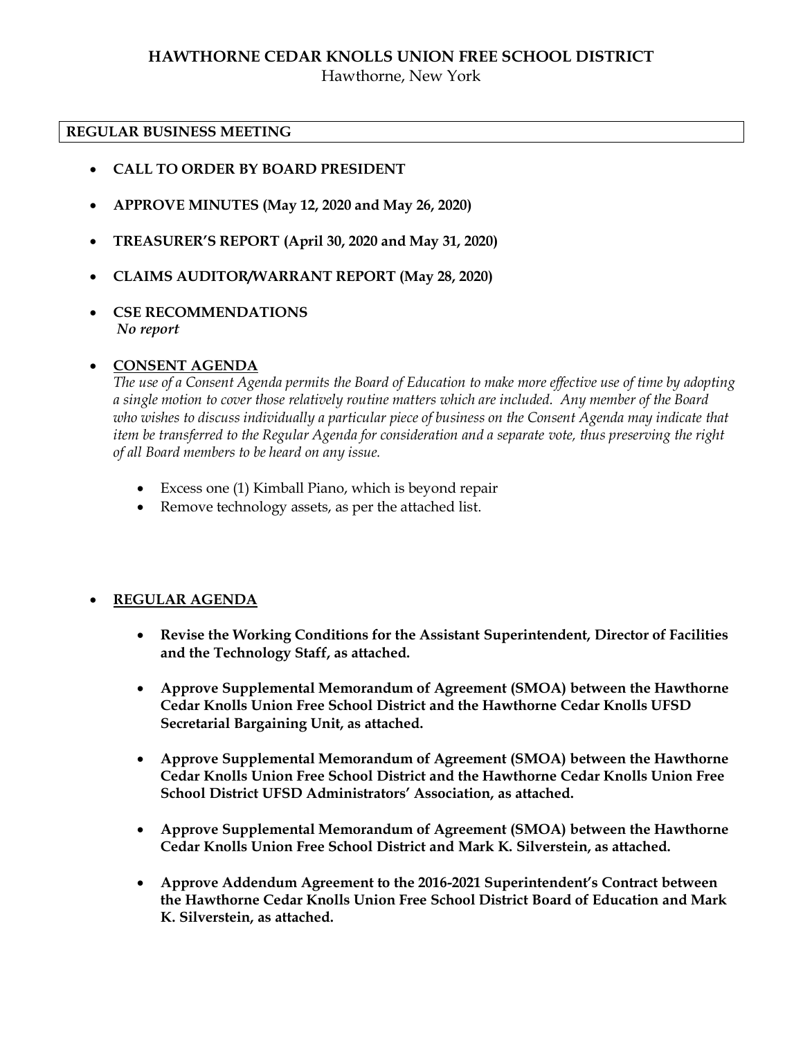# **HAWTHORNE CEDAR KNOLLS UNION FREE SCHOOL DISTRICT**

Hawthorne, New York

#### **REGULAR BUSINESS MEETING**

- **CALL TO ORDER BY BOARD PRESIDENT**
- **APPROVE MINUTES (May 12, 2020 and May 26, 2020)**
- **TREASURER'S REPORT (April 30, 2020 and May 31, 2020)**
- **CLAIMS AUDITOR/WARRANT REPORT (May 28, 2020)**
- **CSE RECOMMENDATIONS** *No report*

## **CONSENT AGENDA**

*The use of a Consent Agenda permits the Board of Education to make more effective use of time by adopting a single motion to cover those relatively routine matters which are included. Any member of the Board who wishes to discuss individually a particular piece of business on the Consent Agenda may indicate that item be transferred to the Regular Agenda for consideration and a separate vote, thus preserving the right of all Board members to be heard on any issue.* 

- Excess one (1) Kimball Piano, which is beyond repair
- Remove technology assets, as per the attached list.

## **REGULAR AGENDA**

- **Revise the Working Conditions for the Assistant Superintendent, Director of Facilities and the Technology Staff, as attached.**
- **Approve Supplemental Memorandum of Agreement (SMOA) between the Hawthorne Cedar Knolls Union Free School District and the Hawthorne Cedar Knolls UFSD Secretarial Bargaining Unit, as attached.**
- **Approve Supplemental Memorandum of Agreement (SMOA) between the Hawthorne Cedar Knolls Union Free School District and the Hawthorne Cedar Knolls Union Free School District UFSD Administrators' Association, as attached.**
- **Approve Supplemental Memorandum of Agreement (SMOA) between the Hawthorne Cedar Knolls Union Free School District and Mark K. Silverstein, as attached.**
- **Approve Addendum Agreement to the 2016-2021 Superintendent's Contract between the Hawthorne Cedar Knolls Union Free School District Board of Education and Mark K. Silverstein, as attached.**